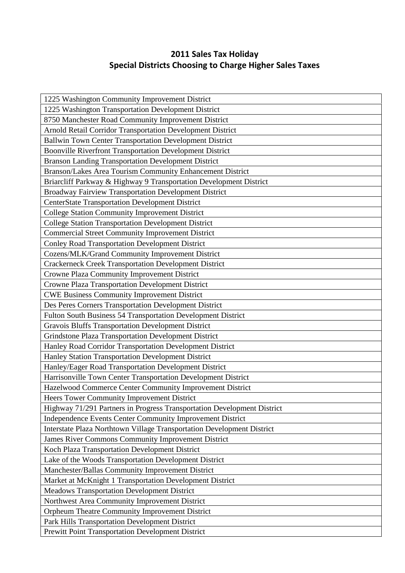## **2011 Sales Tax Holiday Special Districts Choosing to Charge Higher Sales Taxes**

| 1225 Washington Community Improvement District                          |
|-------------------------------------------------------------------------|
| 1225 Washington Transportation Development District                     |
| 8750 Manchester Road Community Improvement District                     |
| Arnold Retail Corridor Transportation Development District              |
| Ballwin Town Center Transportation Development District                 |
| <b>Boonville Riverfront Transportation Development District</b>         |
| <b>Branson Landing Transportation Development District</b>              |
| Branson/Lakes Area Tourism Community Enhancement District               |
| Briarcliff Parkway & Highway 9 Transportation Development District      |
| Broadway Fairview Transportation Development District                   |
| <b>CenterState Transportation Development District</b>                  |
| <b>College Station Community Improvement District</b>                   |
| <b>College Station Transportation Development District</b>              |
| <b>Commercial Street Community Improvement District</b>                 |
| <b>Conley Road Transportation Development District</b>                  |
| Cozens/MLK/Grand Community Improvement District                         |
| <b>Crackerneck Creek Transportation Development District</b>            |
| Crowne Plaza Community Improvement District                             |
| <b>Crowne Plaza Transportation Development District</b>                 |
| <b>CWE Business Community Improvement District</b>                      |
| Des Peres Corners Transportation Development District                   |
| Fulton South Business 54 Transportation Development District            |
| <b>Gravois Bluffs Transportation Development District</b>               |
| Grindstone Plaza Transportation Development District                    |
| Hanley Road Corridor Transportation Development District                |
| Hanley Station Transportation Development District                      |
| Hanley/Eager Road Transportation Development District                   |
| Harrisonville Town Center Transportation Development District           |
| Hazelwood Commerce Center Community Improvement District                |
| Heers Tower Community Improvement District                              |
| Highway 71/291 Partners in Progress Transportation Development District |
| Independence Events Center Community Improvement District               |
| Interstate Plaza Northtown Village Transportation Development District  |
| James River Commons Community Improvement District                      |
| Koch Plaza Transportation Development District                          |
| Lake of the Woods Transportation Development District                   |
| Manchester/Ballas Community Improvement District                        |
| Market at McKnight 1 Transportation Development District                |
| <b>Meadows Transportation Development District</b>                      |
| Northwest Area Community Improvement District                           |
| Orpheum Theatre Community Improvement District                          |
| Park Hills Transportation Development District                          |
| Prewitt Point Transportation Development District                       |